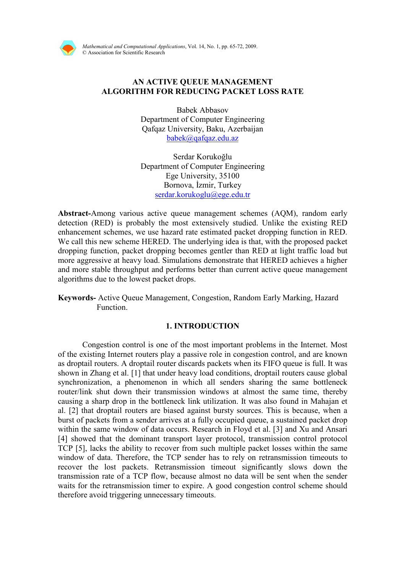

Mathematical and Computational Applications, Vol. 14, No. 1, pp. 65-72, 2009. © Association for Scientific Research

# AN ACTIVE QUEUE MANAGEMENT ALGORITHM FOR REDUCING PACKET LOSS RATE

Babek Abbasov Department of Computer Engineering Qafqaz University, Baku, Azerbaijan babek@qafqaz.edu.az

Serdar Korukoğlu Department of Computer Engineering Ege University, 35100 Bornova, İzmir, Turkey serdar.korukoglu@ege.edu.tr

Abstract-Among various active queue management schemes (AQM), random early detection (RED) is probably the most extensively studied. Unlike the existing RED enhancement schemes, we use hazard rate estimated packet dropping function in RED. We call this new scheme HERED. The underlying idea is that, with the proposed packet dropping function, packet dropping becomes gentler than RED at light traffic load but more aggressive at heavy load. Simulations demonstrate that HERED achieves a higher and more stable throughput and performs better than current active queue management algorithms due to the lowest packet drops.

Keywords- Active Queue Management, Congestion, Random Early Marking, Hazard Function.

## 1. INTRODUCTION

Congestion control is one of the most important problems in the Internet. Most of the existing Internet routers play a passive role in congestion control, and are known as droptail routers. A droptail router discards packets when its FIFO queue is full. It was shown in Zhang et al. [1] that under heavy load conditions, droptail routers cause global synchronization, a phenomenon in which all senders sharing the same bottleneck router/link shut down their transmission windows at almost the same time, thereby causing a sharp drop in the bottleneck link utilization. It was also found in Mahajan et al. [2] that droptail routers are biased against bursty sources. This is because, when a burst of packets from a sender arrives at a fully occupied queue, a sustained packet drop within the same window of data occurs. Research in Floyd et al. [3] and Xu and Ansari [4] showed that the dominant transport layer protocol, transmission control protocol TCP [5], lacks the ability to recover from such multiple packet losses within the same window of data. Therefore, the TCP sender has to rely on retransmission timeouts to recover the lost packets. Retransmission timeout significantly slows down the transmission rate of a TCP flow, because almost no data will be sent when the sender waits for the retransmission timer to expire. A good congestion control scheme should therefore avoid triggering unnecessary timeouts.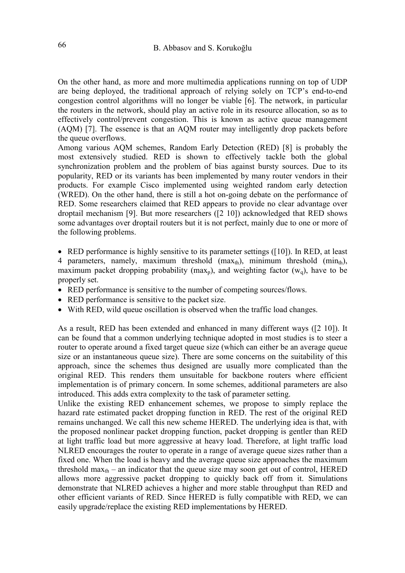On the other hand, as more and more multimedia applications running on top of UDP are being deployed, the traditional approach of relying solely on TCP's end-to-end congestion control algorithms will no longer be viable [6]. The network, in particular the routers in the network, should play an active role in its resource allocation, so as to effectively control/prevent congestion. This is known as active queue management (AQM) [7]. The essence is that an AQM router may intelligently drop packets before the queue overflows.

Among various AQM schemes, Random Early Detection (RED) [8] is probably the most extensively studied. RED is shown to effectively tackle both the global synchronization problem and the problem of bias against bursty sources. Due to its popularity, RED or its variants has been implemented by many router vendors in their products. For example Cisco implemented using weighted random early detection (WRED). On the other hand, there is still a hot on-going debate on the performance of RED. Some researchers claimed that RED appears to provide no clear advantage over droptail mechanism [9]. But more researchers ([2 10]) acknowledged that RED shows some advantages over droptail routers but it is not perfect, mainly due to one or more of the following problems.

• RED performance is highly sensitive to its parameter settings ([10]). In RED, at least 4 parameters, namely, maximum threshold  $(max<sub>th</sub>)$ , minimum threshold  $(min<sub>th</sub>)$ , maximum packet dropping probability (max<sub>p</sub>), and weighting factor  $(w_q)$ , have to be properly set.

- RED performance is sensitive to the number of competing sources/flows.
- RED performance is sensitive to the packet size.
- With RED, wild queue oscillation is observed when the traffic load changes.

As a result, RED has been extended and enhanced in many different ways ([2 10]). It can be found that a common underlying technique adopted in most studies is to steer a router to operate around a fixed target queue size (which can either be an average queue size or an instantaneous queue size). There are some concerns on the suitability of this approach, since the schemes thus designed are usually more complicated than the original RED. This renders them unsuitable for backbone routers where efficient implementation is of primary concern. In some schemes, additional parameters are also introduced. This adds extra complexity to the task of parameter setting.

Unlike the existing RED enhancement schemes, we propose to simply replace the hazard rate estimated packet dropping function in RED. The rest of the original RED remains unchanged. We call this new scheme HERED. The underlying idea is that, with the proposed nonlinear packet dropping function, packet dropping is gentler than RED at light traffic load but more aggressive at heavy load. Therefore, at light traffic load NLRED encourages the router to operate in a range of average queue sizes rather than a fixed one. When the load is heavy and the average queue size approaches the maximum threshold max $_{th}$  – an indicator that the queue size may soon get out of control, HERED allows more aggressive packet dropping to quickly back off from it. Simulations demonstrate that NLRED achieves a higher and more stable throughput than RED and other efficient variants of RED. Since HERED is fully compatible with RED, we can easily upgrade/replace the existing RED implementations by HERED.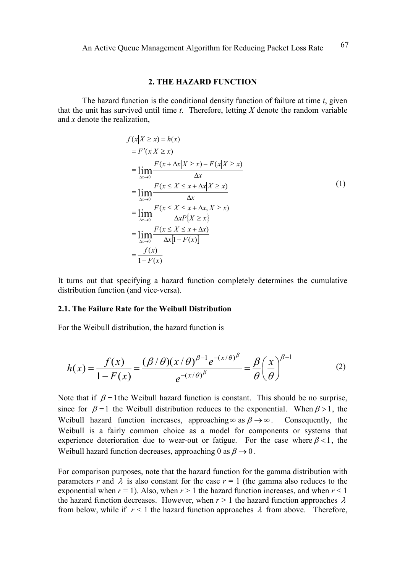#### 2. THE HAZARD FUNCTION

The hazard function is the conditional density function of failure at time  $t$ , given that the unit has survived until time  $t$ . Therefore, letting  $X$  denote the random variable and x denote the realization,

$$
f(x|X \ge x) = h(x)
$$
  
\n
$$
= F'(x|X \ge x)
$$
  
\n
$$
= \lim_{\Delta x \to 0} \frac{F(x + \Delta x|X \ge x) - F(x|X \ge x)}{\Delta x}
$$
  
\n
$$
= \lim_{\Delta x \to 0} \frac{F(x \le X \le x + \Delta x|X \ge x)}{\Delta x}
$$
  
\n
$$
= \lim_{\Delta x \to 0} \frac{F(x \le X \le x + \Delta x, X \ge x)}{\Delta x P\{X \ge x\}}
$$
  
\n
$$
= \lim_{\Delta x \to 0} \frac{F(x \le X \le x + \Delta x)}{\Delta x [1 - F(x)]}
$$
  
\n
$$
= \frac{f(x)}{1 - F(x)}
$$

It turns out that specifying a hazard function completely determines the cumulative distribution function (and vice-versa).

## 2.1. The Failure Rate for the Weibull Distribution

For the Weibull distribution, the hazard function is

$$
h(x) = \frac{f(x)}{1 - F(x)} = \frac{(\beta/\theta)(x/\theta)^{\beta - 1} e^{-(x/\theta)^{\beta}}}{e^{-(x/\theta)^{\beta}}} = \frac{\beta}{\theta} \left(\frac{x}{\theta}\right)^{\beta - 1}
$$
(2)

Note that if  $\beta = 1$  the Weibull hazard function is constant. This should be no surprise, since for  $\beta = 1$  the Weibull distribution reduces to the exponential. When  $\beta > 1$ , the Weibull hazard function increases, approaching∞ as  $\beta \rightarrow \infty$ . Consequently, the Weibull is a fairly common choice as a model for components or systems that experience deterioration due to wear-out or fatigue. For the case where  $\beta < 1$ , the Weibull hazard function decreases, approaching 0 as  $\beta \rightarrow 0$ .

For comparison purposes, note that the hazard function for the gamma distribution with parameters r and  $\lambda$  is also constant for the case  $r = 1$  (the gamma also reduces to the exponential when  $r = 1$ ). Also, when  $r > 1$  the hazard function increases, and when  $r < 1$ the hazard function decreases. However, when  $r > 1$  the hazard function approaches  $\lambda$ from below, while if  $r < 1$  the hazard function approaches  $\lambda$  from above. Therefore,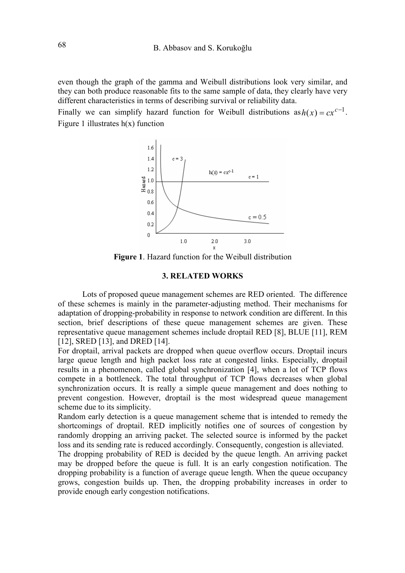even though the graph of the gamma and Weibull distributions look very similar, and they can both produce reasonable fits to the same sample of data, they clearly have very different characteristics in terms of describing survival or reliability data.

Finally we can simplify hazard function for Weibull distributions as  $h(x) = cx^{c-1}$ . Figure 1 illustrates  $h(x)$  function



Figure 1. Hazard function for the Weibull distribution

## 3. RELATED WORKS

Lots of proposed queue management schemes are RED oriented. The difference of these schemes is mainly in the parameter-adjusting method. Their mechanisms for adaptation of dropping-probability in response to network condition are different. In this section, brief descriptions of these queue management schemes are given. These representative queue management schemes include droptail RED [8], BLUE [11], REM [12], SRED [13], and DRED [14].

For droptail, arrival packets are dropped when queue overflow occurs. Droptail incurs large queue length and high packet loss rate at congested links. Especially, droptail results in a phenomenon, called global synchronization [4], when a lot of TCP flows compete in a bottleneck. The total throughput of TCP flows decreases when global synchronization occurs. It is really a simple queue management and does nothing to prevent congestion. However, droptail is the most widespread queue management scheme due to its simplicity.

Random early detection is a queue management scheme that is intended to remedy the shortcomings of droptail. RED implicitly notifies one of sources of congestion by randomly dropping an arriving packet. The selected source is informed by the packet loss and its sending rate is reduced accordingly. Consequently, congestion is alleviated.

The dropping probability of RED is decided by the queue length. An arriving packet may be dropped before the queue is full. It is an early congestion notification. The dropping probability is a function of average queue length. When the queue occupancy grows, congestion builds up. Then, the dropping probability increases in order to provide enough early congestion notifications.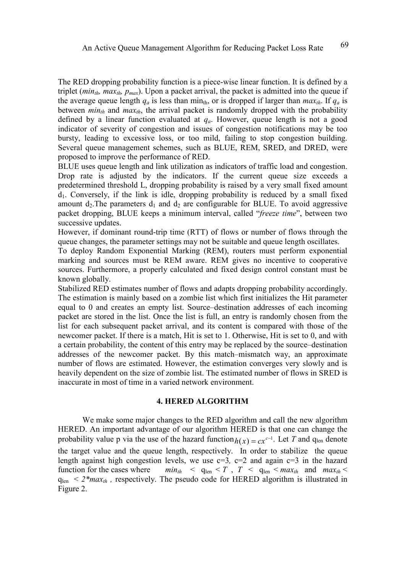The RED dropping probability function is a piece-wise linear function. It is defined by a triplet (*min<sub>th</sub>, max<sub>th</sub>, p<sub>max</sub>*). Upon a packet arrival, the packet is admitted into the queue if the average queue length  $q_a$  is less than min<sub>th</sub>, or is dropped if larger than  $max_{th}$ . If  $q_a$  is between  $min_{th}$  and  $max_{th}$ , the arrival packet is randomly dropped with the probability defined by a linear function evaluated at  $q_a$ . However, queue length is not a good indicator of severity of congestion and issues of congestion notifications may be too bursty, leading to excessive loss, or too mild, failing to stop congestion building. Several queue management schemes, such as BLUE, REM, SRED, and DRED, were proposed to improve the performance of RED.

BLUE uses queue length and link utilization as indicators of traffic load and congestion. Drop rate is adjusted by the indicators. If the current queue size exceeds a predetermined threshold L, dropping probability is raised by a very small fixed amount  $d_1$ . Conversely, if the link is idle, dropping probability is reduced by a small fixed amount  $d_2$ . The parameters  $d_1$  and  $d_2$  are configurable for BLUE. To avoid aggressive packet dropping, BLUE keeps a minimum interval, called "freeze time", between two successive updates.

However, if dominant round-trip time (RTT) of flows or number of flows through the queue changes, the parameter settings may not be suitable and queue length oscillates.

To deploy Random Exponential Marking (REM), routers must perform exponential marking and sources must be REM aware. REM gives no incentive to cooperative sources. Furthermore, a properly calculated and fixed design control constant must be known globally.

Stabilized RED estimates number of flows and adapts dropping probability accordingly. The estimation is mainly based on a zombie list which first initializes the Hit parameter equal to 0 and creates an empty list. Source–destination addresses of each incoming packet are stored in the list. Once the list is full, an entry is randomly chosen from the list for each subsequent packet arrival, and its content is compared with those of the newcomer packet. If there is a match, Hit is set to 1. Otherwise, Hit is set to 0, and with a certain probability, the content of this entry may be replaced by the source–destination addresses of the newcomer packet. By this match–mismatch way, an approximate number of flows are estimated. However, the estimation converges very slowly and is heavily dependent on the size of zombie list. The estimated number of flows in SRED is inaccurate in most of time in a varied network environment.

### 4. HERED ALGORITHM

 We make some major changes to the RED algorithm and call the new algorithm HERED. An important advantage of our algorithm HERED is that one can change the probability value p via the use of the hazard function  $h(x) = cx^{c-1}$ . Let T and q<sub>len</sub> denote the target value and the queue length, respectively. In order to stabilize the queue length against high congestion levels, we use  $c=3$ ,  $c=2$  and again  $c=3$  in the hazard function for the cases where  $min_{th} < q_{len} < T$ ,  $T < q_{len} < max_{th}$  and  $max_{th} <$  $q_{len} < 2*max_{th}$ , respectively. The pseudo code for HERED algorithm is illustrated in Figure 2.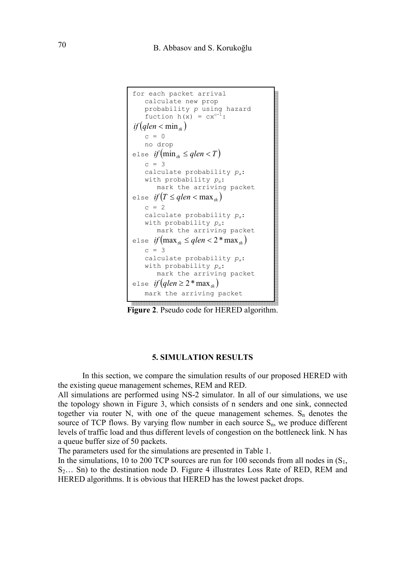```
for each packet arrival 
    calculate new prop 
    probability p using hazard 
    fuction h(x) = cx^{c-1}:
if (alen < min<sub>n</sub>)c = 0 no drop 
else if(min_{th} \leq qlen < T)c = 3calculate probability p_a:
   with probability p_a:
        mark the arriving packet 
else if (T \leq qlen < \max_{b} )c = 2calculate probability p_a:
   with probability p_a:
        mark the arriving packet
else if(max_{th} \leq qlen < 2 * max_{th})c = 3calculate probability p_a:
   with probability p_a:
        mark the arriving packet
else if (glen \geq 2 * max_{ab} mark the arriving packete de la composición de la composición de la composición de la composición de la composición de la composición
```
Figure 2. Pseudo code for HERED algorithm.

## 5. SIMULATION RESULTS

In this section, we compare the simulation results of our proposed HERED with the existing queue management schemes, REM and RED.

All simulations are performed using NS-2 simulator. In all of our simulations, we use the topology shown in Figure 3, which consists of n senders and one sink, connected together via router N, with one of the queue management schemes.  $S_n$  denotes the source of TCP flows. By varying flow number in each source  $S_n$ , we produce different levels of traffic load and thus different levels of congestion on the bottleneck link. N has a queue buffer size of 50 packets.

The parameters used for the simulations are presented in Table 1.

In the simulations, 10 to 200 TCP sources are run for 100 seconds from all nodes in  $(S_1, S_2)$  $S_2$ ... Sn) to the destination node D. Figure 4 illustrates Loss Rate of RED, REM and HERED algorithms. It is obvious that HERED has the lowest packet drops.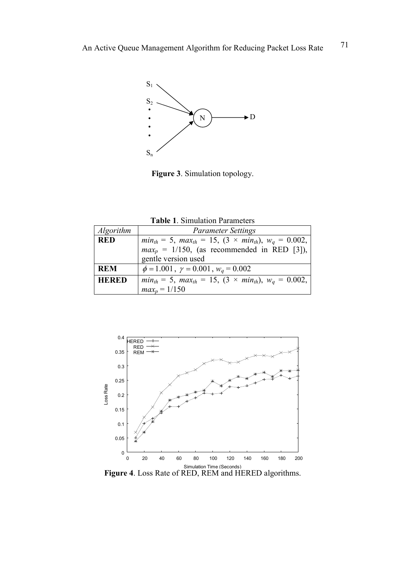

Figure 3. Simulation topology.

| <b>Table 1. Simulation Parameters</b> |  |  |  |
|---------------------------------------|--|--|--|
|---------------------------------------|--|--|--|

| <i>Algorithm</i> | <b>Parameter Settings</b>                                                  |  |
|------------------|----------------------------------------------------------------------------|--|
| <b>RED</b>       | $min_{th} = 5$ , $max_{th} = 15$ , $(3 \times min_{th})$ , $w_q = 0.002$ , |  |
|                  | $max_p = 1/150$ , (as recommended in RED [3]),                             |  |
|                  | gentle version used                                                        |  |
| <b>REM</b>       | $\phi = 1.001$ , $\gamma = 0.001$ , $w_a = 0.002$                          |  |
| <b>HERED</b>     | $min_{th} = 5$ , $max_{th} = 15$ , $(3 \times min_{th})$ , $w_q = 0.002$ , |  |
|                  | $maxp = 1/150$                                                             |  |



Simulation Time (Seconds)<br>**Figure 4**. Loss Rate of RED, REM and HERED algorithms.